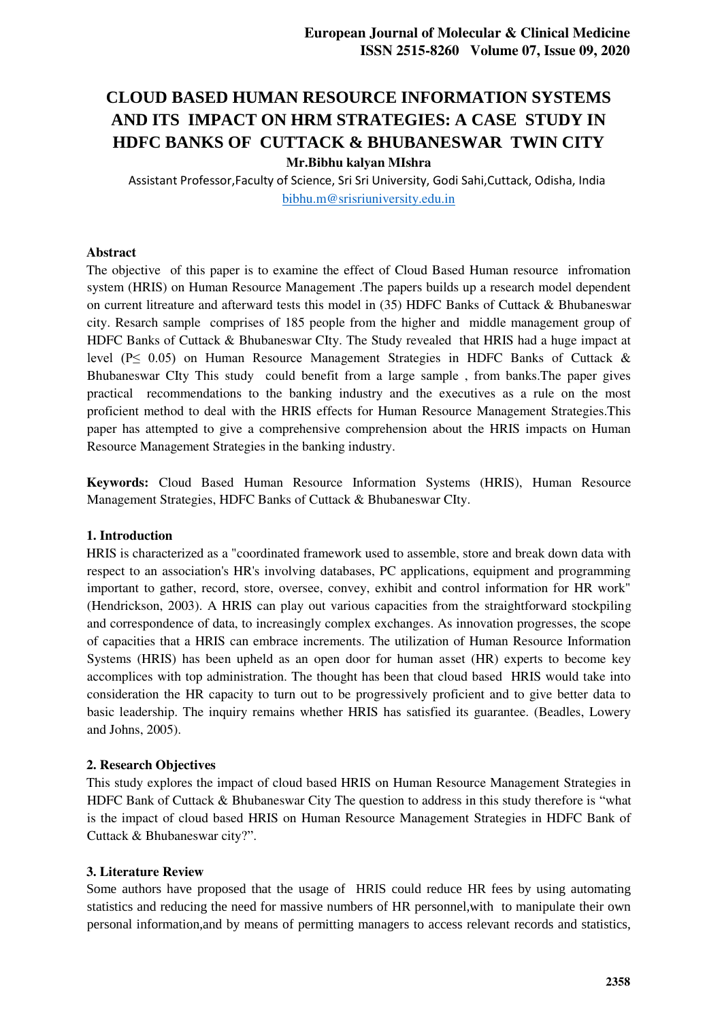# **CLOUD BASED HUMAN RESOURCE INFORMATION SYSTEMS AND ITS IMPACT ON HRM STRATEGIES: A CASE STUDY IN HDFC BANKS OF CUTTACK & BHUBANESWAR TWIN CITY Mr.Bibhu kalyan MIshra**

Assistant Professor,Faculty of Science, Sri Sri University, Godi Sahi,Cuttack, Odisha, India [bibhu.m@srisriuniversity.edu.in](mailto:bibhu.m@srisriuniversity.edu.in) 

#### **Abstract**

The objective of this paper is to examine the effect of Cloud Based Human resource infromation system (HRIS) on Human Resource Management .The papers builds up a research model dependent on current litreature and afterward tests this model in (35) HDFC Banks of Cuttack & Bhubaneswar city. Resarch sample comprises of 185 people from the higher and middle management group of HDFC Banks of Cuttack & Bhubaneswar CIty. The Study revealed that HRIS had a huge impact at level (P≤ 0.05) on Human Resource Management Strategies in HDFC Banks of Cuttack & Bhubaneswar CIty This study could benefit from a large sample , from banks.The paper gives practical recommendations to the banking industry and the executives as a rule on the most proficient method to deal with the HRIS effects for Human Resource Management Strategies.This paper has attempted to give a comprehensive comprehension about the HRIS impacts on Human Resource Management Strategies in the banking industry.

**Keywords:** Cloud Based Human Resource Information Systems (HRIS), Human Resource Management Strategies, HDFC Banks of Cuttack & Bhubaneswar CIty.

#### **1. Introduction**

HRIS is characterized as a "coordinated framework used to assemble, store and break down data with respect to an association's HR's involving databases, PC applications, equipment and programming important to gather, record, store, oversee, convey, exhibit and control information for HR work" (Hendrickson, 2003). A HRIS can play out various capacities from the straightforward stockpiling and correspondence of data, to increasingly complex exchanges. As innovation progresses, the scope of capacities that a HRIS can embrace increments. The utilization of Human Resource Information Systems (HRIS) has been upheld as an open door for human asset (HR) experts to become key accomplices with top administration. The thought has been that cloud based HRIS would take into consideration the HR capacity to turn out to be progressively proficient and to give better data to basic leadership. The inquiry remains whether HRIS has satisfied its guarantee. (Beadles, Lowery and Johns, 2005).

#### **2. Research Objectives**

This study explores the impact of cloud based HRIS on Human Resource Management Strategies in HDFC Bank of Cuttack & Bhubaneswar City The question to address in this study therefore is "what is the impact of cloud based HRIS on Human Resource Management Strategies in HDFC Bank of Cuttack & Bhubaneswar city?".

#### **3. Literature Review**

Some authors have proposed that the usage of HRIS could reduce HR fees by using automating statistics and reducing the need for massive numbers of HR personnel,with to manipulate their own personal information,and by means of permitting managers to access relevant records and statistics,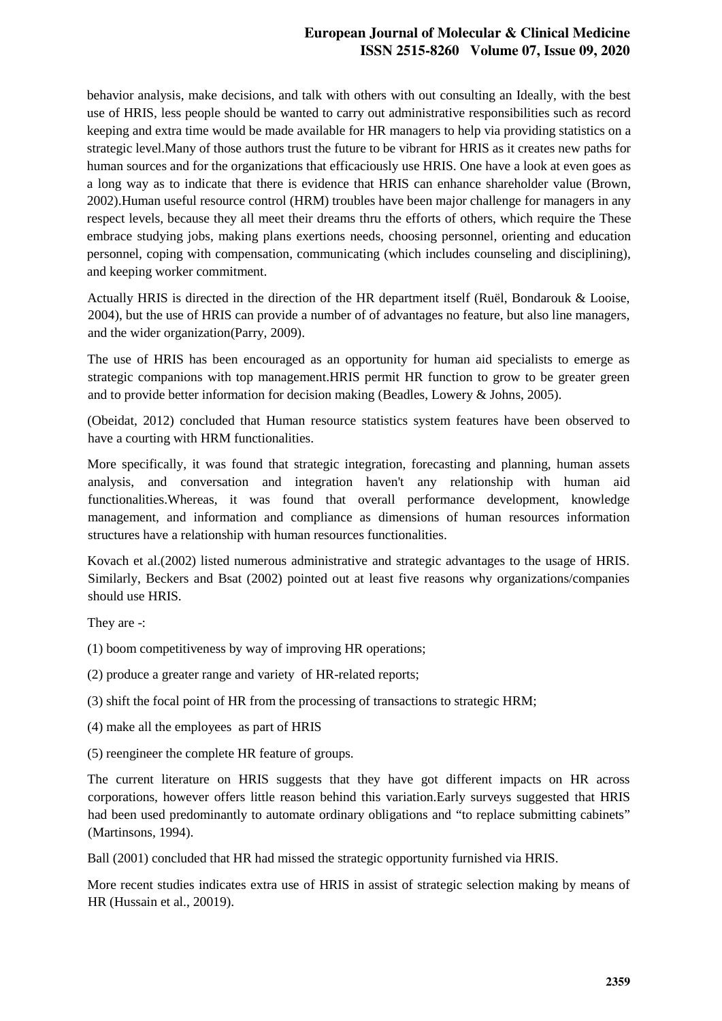# **European Journal of Molecular & Clinical Medicine ISSN 2515-8260 Volume 07, Issue 09, 2020**

behavior analysis, make decisions, and talk with others with out consulting an Ideally, with the best use of HRIS, less people should be wanted to carry out administrative responsibilities such as record keeping and extra time would be made available for HR managers to help via providing statistics on a strategic level.Many of those authors trust the future to be vibrant for HRIS as it creates new paths for human sources and for the organizations that efficaciously use HRIS. One have a look at even goes as a long way as to indicate that there is evidence that HRIS can enhance shareholder value (Brown, 2002).Human useful resource control (HRM) troubles have been major challenge for managers in any respect levels, because they all meet their dreams thru the efforts of others, which require the These embrace studying jobs, making plans exertions needs, choosing personnel, orienting and education personnel, coping with compensation, communicating (which includes counseling and disciplining), and keeping worker commitment.

Actually HRIS is directed in the direction of the HR department itself (Ruël, Bondarouk & Looise, 2004), but the use of HRIS can provide a number of of advantages no feature, but also line managers, and the wider organization(Parry, 2009).

The use of HRIS has been encouraged as an opportunity for human aid specialists to emerge as strategic companions with top management.HRIS permit HR function to grow to be greater green and to provide better information for decision making (Beadles, Lowery & Johns, 2005).

(Obeidat, 2012) concluded that Human resource statistics system features have been observed to have a courting with HRM functionalities.

More specifically, it was found that strategic integration, forecasting and planning, human assets analysis, and conversation and integration haven't any relationship with human aid functionalities.Whereas, it was found that overall performance development, knowledge management, and information and compliance as dimensions of human resources information structures have a relationship with human resources functionalities.

Kovach et al.(2002) listed numerous administrative and strategic advantages to the usage of HRIS. Similarly, Beckers and Bsat (2002) pointed out at least five reasons why organizations/companies should use HRIS.

They are -:

(1) boom competitiveness by way of improving HR operations;

(2) produce a greater range and variety of HR-related reports;

(3) shift the focal point of HR from the processing of transactions to strategic HRM;

- (4) make all the employees as part of HRIS
- (5) reengineer the complete HR feature of groups.

The current literature on HRIS suggests that they have got different impacts on HR across corporations, however offers little reason behind this variation.Early surveys suggested that HRIS had been used predominantly to automate ordinary obligations and "to replace submitting cabinets" (Martinsons, 1994).

Ball (2001) concluded that HR had missed the strategic opportunity furnished via HRIS.

More recent studies indicates extra use of HRIS in assist of strategic selection making by means of HR (Hussain et al., 20019).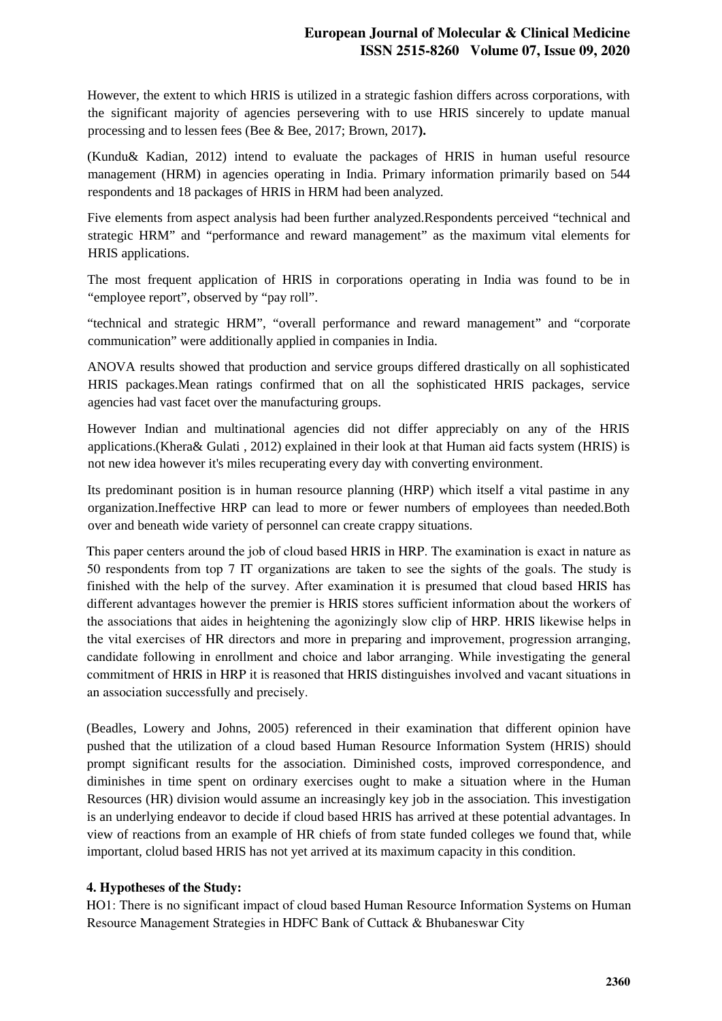However, the extent to which HRIS is utilized in a strategic fashion differs across corporations, with the significant majority of agencies persevering with to use HRIS sincerely to update manual processing and to lessen fees (Bee & Bee, 2017; Brown, 2017**).**

(Kundu& Kadian, 2012) intend to evaluate the packages of HRIS in human useful resource management (HRM) in agencies operating in India. Primary information primarily based on 544 respondents and 18 packages of HRIS in HRM had been analyzed.

Five elements from aspect analysis had been further analyzed.Respondents perceived "technical and strategic HRM" and "performance and reward management" as the maximum vital elements for HRIS applications.

The most frequent application of HRIS in corporations operating in India was found to be in "employee report", observed by "pay roll".

"technical and strategic HRM", "overall performance and reward management" and "corporate communication" were additionally applied in companies in India.

ANOVA results showed that production and service groups differed drastically on all sophisticated HRIS packages.Mean ratings confirmed that on all the sophisticated HRIS packages, service agencies had vast facet over the manufacturing groups.

However Indian and multinational agencies did not differ appreciably on any of the HRIS applications.(Khera& Gulati , 2012) explained in their look at that Human aid facts system (HRIS) is not new idea however it's miles recuperating every day with converting environment.

Its predominant position is in human resource planning (HRP) which itself a vital pastime in any organization.Ineffective HRP can lead to more or fewer numbers of employees than needed.Both over and beneath wide variety of personnel can create crappy situations.

This paper centers around the job of cloud based HRIS in HRP. The examination is exact in nature as 50 respondents from top 7 IT organizations are taken to see the sights of the goals. The study is finished with the help of the survey. After examination it is presumed that cloud based HRIS has different advantages however the premier is HRIS stores sufficient information about the workers of the associations that aides in heightening the agonizingly slow clip of HRP. HRIS likewise helps in the vital exercises of HR directors and more in preparing and improvement, progression arranging, candidate following in enrollment and choice and labor arranging. While investigating the general commitment of HRIS in HRP it is reasoned that HRIS distinguishes involved and vacant situations in an association successfully and precisely.

(Beadles, Lowery and Johns, 2005) referenced in their examination that different opinion have pushed that the utilization of a cloud based Human Resource Information System (HRIS) should prompt significant results for the association. Diminished costs, improved correspondence, and diminishes in time spent on ordinary exercises ought to make a situation where in the Human Resources (HR) division would assume an increasingly key job in the association. This investigation is an underlying endeavor to decide if cloud based HRIS has arrived at these potential advantages. In view of reactions from an example of HR chiefs of from state funded colleges we found that, while important, clolud based HRIS has not yet arrived at its maximum capacity in this condition.

## **4. Hypotheses of the Study:**

HO1: There is no significant impact of cloud based Human Resource Information Systems on Human Resource Management Strategies in HDFC Bank of Cuttack & Bhubaneswar City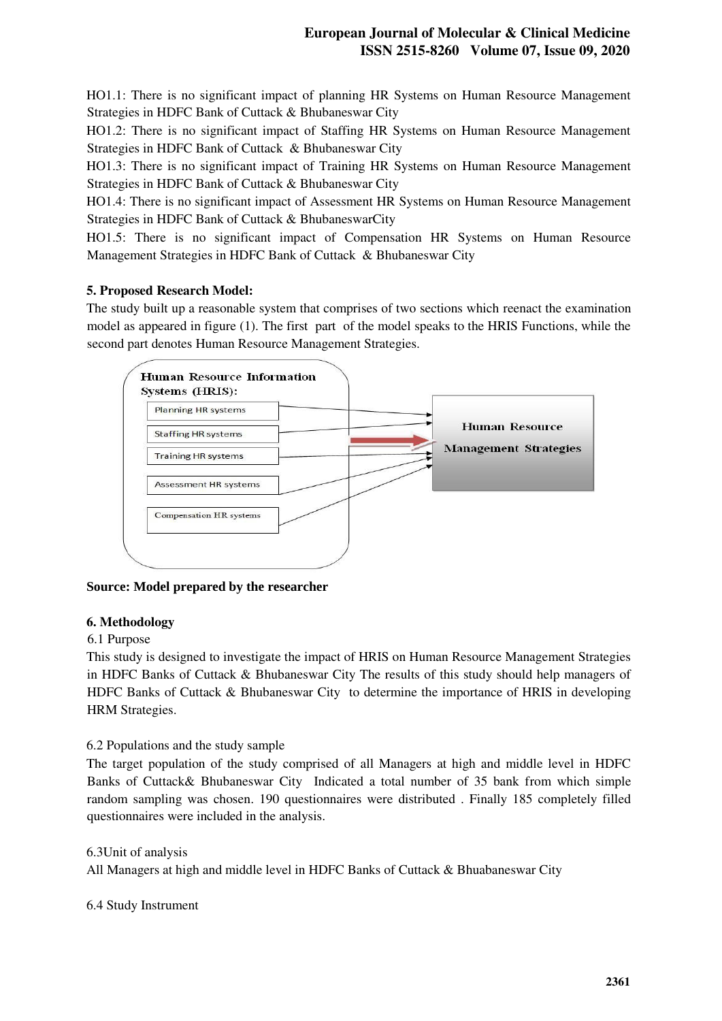HO1.1: There is no significant impact of planning HR Systems on Human Resource Management Strategies in HDFC Bank of Cuttack & Bhubaneswar City

HO1.2: There is no significant impact of Staffing HR Systems on Human Resource Management Strategies in HDFC Bank of Cuttack & Bhubaneswar City

HO1.3: There is no significant impact of Training HR Systems on Human Resource Management Strategies in HDFC Bank of Cuttack & Bhubaneswar City

HO1.4: There is no significant impact of Assessment HR Systems on Human Resource Management Strategies in HDFC Bank of Cuttack & BhubaneswarCity

HO1.5: There is no significant impact of Compensation HR Systems on Human Resource Management Strategies in HDFC Bank of Cuttack & Bhubaneswar City

# **5. Proposed Research Model:**

The study built up a reasonable system that comprises of two sections which reenact the examination model as appeared in figure (1). The first part of the model speaks to the HRIS Functions, while the second part denotes Human Resource Management Strategies.



**Source: Model prepared by the researcher**

## **6. Methodology**

## 6.1 Purpose

This study is designed to investigate the impact of HRIS on Human Resource Management Strategies in HDFC Banks of Cuttack & Bhubaneswar City The results of this study should help managers of HDFC Banks of Cuttack & Bhubaneswar City to determine the importance of HRIS in developing HRM Strategies.

6.2 Populations and the study sample

The target population of the study comprised of all Managers at high and middle level in HDFC Banks of Cuttack& Bhubaneswar City Indicated a total number of 35 bank from which simple random sampling was chosen. 190 questionnaires were distributed . Finally 185 completely filled questionnaires were included in the analysis.

6.3Unit of analysis All Managers at high and middle level in HDFC Banks of Cuttack & Bhuabaneswar City

6.4 Study Instrument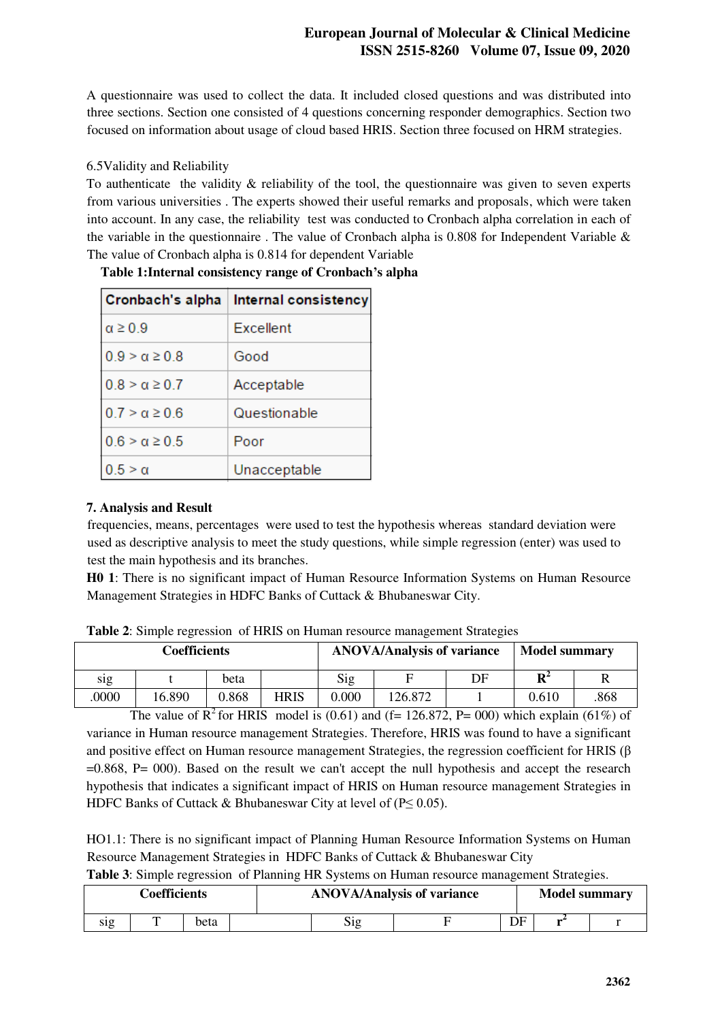A questionnaire was used to collect the data. It included closed questions and was distributed into three sections. Section one consisted of 4 questions concerning responder demographics. Section two focused on information about usage of cloud based HRIS. Section three focused on HRM strategies.

# 6.5Validity and Reliability

To authenticate the validity  $\&$  reliability of the tool, the questionnaire was given to seven experts from various universities . The experts showed their useful remarks and proposals, which were taken into account. In any case, the reliability test was conducted to Cronbach alpha correlation in each of the variable in the questionnaire . The value of Cronbach alpha is 0.808 for Independent Variable & The value of Cronbach alpha is 0.814 for dependent Variable

|                         | Cronbach's alpha   Internal consistency |
|-------------------------|-----------------------------------------|
| $\alpha \geq 0.9$       | Excellent                               |
| $0.9 > \alpha \geq 0.8$ | Good                                    |
| $0.8 > \alpha \geq 0.7$ | Acceptable                              |
| $0.7 > \alpha \geq 0.6$ | Questionable                            |
| $0.6 > \alpha \geq 0.5$ | Poor                                    |
| $0.5 > \alpha$          | Unacceptable                            |

**Table 1:Internal consistency range of Cronbach's alpha** 

# **7. Analysis and Result**

frequencies, means, percentages were used to test the hypothesis whereas standard deviation were used as descriptive analysis to meet the study questions, while simple regression (enter) was used to test the main hypothesis and its branches.

**H0 1**: There is no significant impact of Human Resource Information Systems on Human Resource Management Strategies in HDFC Banks of Cuttack & Bhubaneswar City.

| Coefficients |        |       | <b>ANOVA/Analysis of variance</b> |       |         | <b>Model summary</b> |                |      |
|--------------|--------|-------|-----------------------------------|-------|---------|----------------------|----------------|------|
| sıg          |        | beta  |                                   | Sig   |         | DF                   | $\mathbf{R}^2$ |      |
| .0000        | 16.890 | 0.868 | <b>HRIS</b>                       | 0.000 | 126.872 |                      | 0.610          | .868 |

**Table 2**: Simple regression of HRIS on Human resource management Strategies

The value of  $R^2$  for HRIS model is (0.61) and (f= 126.872, P= 000) which explain (61%) of variance in Human resource management Strategies. Therefore, HRIS was found to have a significant and positive effect on Human resource management Strategies, the regression coefficient for HRIS (β =0.868, P= 000). Based on the result we can't accept the null hypothesis and accept the research hypothesis that indicates a significant impact of HRIS on Human resource management Strategies in HDFC Banks of Cuttack & Bhubaneswar City at level of ( $P \le 0.05$ ).

HO1.1: There is no significant impact of Planning Human Resource Information Systems on Human Resource Management Strategies in HDFC Banks of Cuttack & Bhubaneswar City

**Table 3**: Simple regression of Planning HR Systems on Human resource management Strategies.

| Coefficients |   |      |  |           | <b>ANOVA/Analysis of variance</b> |    | <b>Model summary</b> |  |
|--------------|---|------|--|-----------|-----------------------------------|----|----------------------|--|
| S1g          | m | beta |  | n.<br>S12 |                                   | DF |                      |  |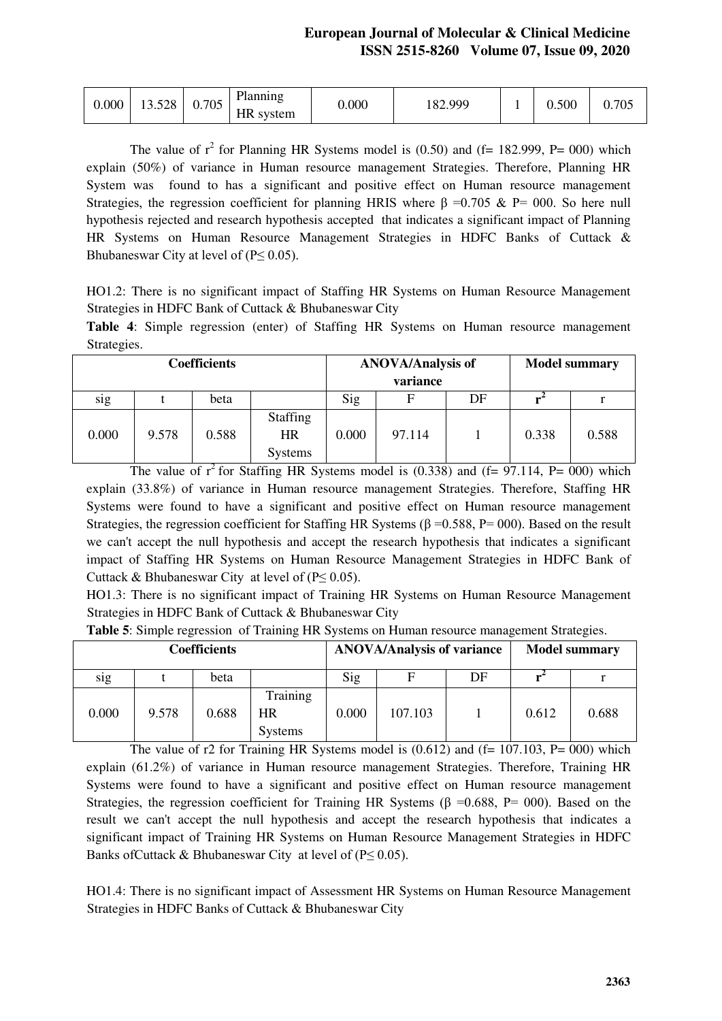| 0.000 | 13.528 | 0.705 | Planning<br>HR system | 0.000 | 182.999 |  | 0.500 | 0.705 |
|-------|--------|-------|-----------------------|-------|---------|--|-------|-------|
|-------|--------|-------|-----------------------|-------|---------|--|-------|-------|

The value of  $r^2$  for Planning HR Systems model is (0.50) and (f= 182.999, P= 000) which explain (50%) of variance in Human resource management Strategies. Therefore, Planning HR System was found to has a significant and positive effect on Human resource management Strategies, the regression coefficient for planning HRIS where  $\beta = 0.705 \& P = 000$ . So here null hypothesis rejected and research hypothesis accepted that indicates a significant impact of Planning HR Systems on Human Resource Management Strategies in HDFC Banks of Cuttack & Bhubaneswar City at level of  $(P \le 0.05)$ .

HO1.2: There is no significant impact of Staffing HR Systems on Human Resource Management Strategies in HDFC Bank of Cuttack & Bhubaneswar City

**Table 4**: Simple regression (enter) of Staffing HR Systems on Human resource management Strategies.

| <b>Coefficients</b> |       |       |                                                |       | <b>ANOVA/Analysis of</b><br>variance |    |       | <b>Model summary</b> |
|---------------------|-------|-------|------------------------------------------------|-------|--------------------------------------|----|-------|----------------------|
| sig                 |       | beta  |                                                | Sig   |                                      | DF |       |                      |
| 0.000               | 9.578 | 0.588 | <b>Staffing</b><br><b>HR</b><br><b>Systems</b> | 0.000 | 97.114                               |    | 0.338 | 0.588                |

The value of  $r^2$  for Staffing HR Systems model is (0.338) and (f= 97.114, P= 000) which explain (33.8%) of variance in Human resource management Strategies. Therefore, Staffing HR Systems were found to have a significant and positive effect on Human resource management Strategies, the regression coefficient for Staffing HR Systems ( $\beta$  =0.588, P= 000). Based on the result we can't accept the null hypothesis and accept the research hypothesis that indicates a significant impact of Staffing HR Systems on Human Resource Management Strategies in HDFC Bank of Cuttack & Bhubaneswar City at level of  $(P \le 0.05)$ .

HO1.3: There is no significant impact of Training HR Systems on Human Resource Management Strategies in HDFC Bank of Cuttack & Bhubaneswar City

| <b>Coefficients</b> |       |       | <b>ANOVA/Analysis of variance</b> |       |         | <b>Model summary</b> |       |       |
|---------------------|-------|-------|-----------------------------------|-------|---------|----------------------|-------|-------|
| S1g                 |       | beta  |                                   | Sig   | F       | DF                   |       |       |
| 0.000               | 9.578 | 0.688 | Training<br>HR<br><b>Systems</b>  | 0.000 | 107.103 |                      | 0.612 | 0.688 |

**Table 5**: Simple regression of Training HR Systems on Human resource management Strategies.

The value of r2 for Training HR Systems model is  $(0.612)$  and  $(f= 107.103, P= 000)$  which explain (61.2%) of variance in Human resource management Strategies. Therefore, Training HR Systems were found to have a significant and positive effect on Human resource management Strategies, the regression coefficient for Training HR Systems ( $\beta$  =0.688, P= 000). Based on the result we can't accept the null hypothesis and accept the research hypothesis that indicates a significant impact of Training HR Systems on Human Resource Management Strategies in HDFC Banks of Cuttack & Bhubaneswar City at level of  $(P \le 0.05)$ .

HO1.4: There is no significant impact of Assessment HR Systems on Human Resource Management Strategies in HDFC Banks of Cuttack & Bhubaneswar City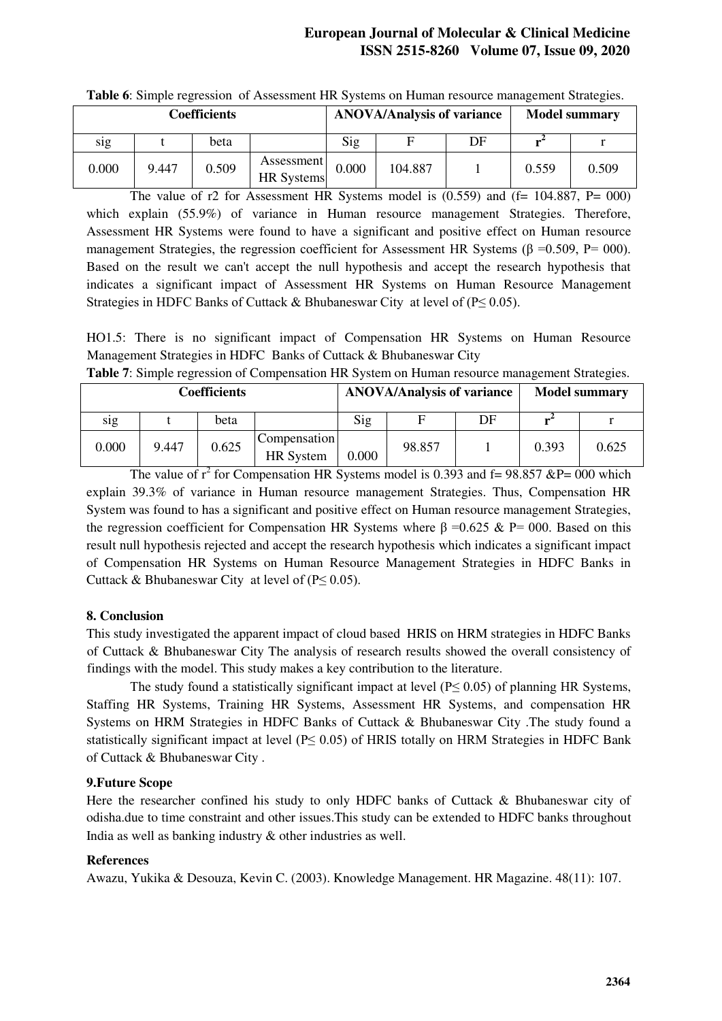# **European Journal of Molecular & Clinical Medicine ISSN 2515-8260 Volume 07, Issue 09, 2020**

| Coefficients |       |       |                                 | <b>ANOVA/Analysis of variance</b> |         |    | <b>Model summary</b> |       |
|--------------|-------|-------|---------------------------------|-----------------------------------|---------|----|----------------------|-------|
| sig          |       | beta  |                                 | Sig                               |         | DF |                      |       |
| 0.000        | 9.447 | 0.509 | Assessment<br><b>HR</b> Systems | 0.000                             | 104.887 |    | 0.559                | 0.509 |

**Table 6**: Simple regression of Assessment HR Systems on Human resource management Strategies.

The value of r2 for Assessment HR Systems model is  $(0.559)$  and  $(f= 104.887, P= 000)$ which explain (55.9%) of variance in Human resource management Strategies. Therefore, Assessment HR Systems were found to have a significant and positive effect on Human resource management Strategies, the regression coefficient for Assessment HR Systems ( $\beta = 0.509$ , P= 000). Based on the result we can't accept the null hypothesis and accept the research hypothesis that indicates a significant impact of Assessment HR Systems on Human Resource Management Strategies in HDFC Banks of Cuttack & Bhubaneswar City at level of (P≤ 0.05).

HO1.5: There is no significant impact of Compensation HR Systems on Human Resource Management Strategies in HDFC Banks of Cuttack & Bhubaneswar City

|  | Table 7: Simple regression of Compensation HR System on Human resource management Strategies. |  |
|--|-----------------------------------------------------------------------------------------------|--|
|  |                                                                                               |  |

| <b>Coefficients</b> |       |       |                                  |       | <b>ANOVA/Analysis of variance</b> |    |       | <b>Model summary</b> |
|---------------------|-------|-------|----------------------------------|-------|-----------------------------------|----|-------|----------------------|
| s <sub>1</sub> g    |       | beta  |                                  | Sig   | ы                                 | DF |       |                      |
| 0.000               | 9.447 | 0.625 | Compensation<br><b>HR</b> System | 0.000 | 98.857                            |    | 0.393 | 0.625                |

The value of  $r^2$  for Compensation HR Systems model is 0.393 and f= 98.857 &P= 000 which explain 39.3% of variance in Human resource management Strategies. Thus, Compensation HR System was found to has a significant and positive effect on Human resource management Strategies, the regression coefficient for Compensation HR Systems where  $\beta = 0.625 \& P = 000$ . Based on this result null hypothesis rejected and accept the research hypothesis which indicates a significant impact of Compensation HR Systems on Human Resource Management Strategies in HDFC Banks in Cuttack & Bhubaneswar City at level of  $(P \le 0.05)$ .

## **8. Conclusion**

This study investigated the apparent impact of cloud based HRIS on HRM strategies in HDFC Banks of Cuttack & Bhubaneswar City The analysis of research results showed the overall consistency of findings with the model. This study makes a key contribution to the literature.

The study found a statistically significant impact at level  $(P< 0.05)$  of planning HR Systems, Staffing HR Systems, Training HR Systems, Assessment HR Systems, and compensation HR Systems on HRM Strategies in HDFC Banks of Cuttack & Bhubaneswar City .The study found a statistically significant impact at level ( $P \le 0.05$ ) of HRIS totally on HRM Strategies in HDFC Bank of Cuttack & Bhubaneswar City .

#### **9.Future Scope**

Here the researcher confined his study to only HDFC banks of Cuttack & Bhubaneswar city of odisha.due to time constraint and other issues.This study can be extended to HDFC banks throughout India as well as banking industry & other industries as well.

#### **References**

Awazu, Yukika & Desouza, Kevin C. (2003). Knowledge Management. HR Magazine. 48(11): 107.